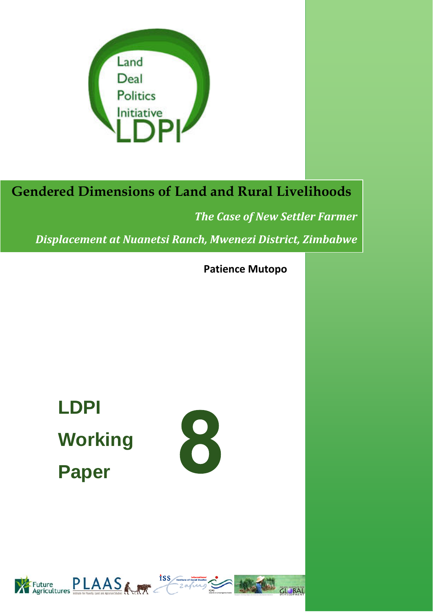

# **Gendered Dimensions of Land and Rural Livelihoods**

*The Case of New Settler Farmer*

*Displacement at Nuanetsi Ranch, Mwenezi District, Zimbabwe*

**Patience Mutopo**

**LDPI Working Paper** 





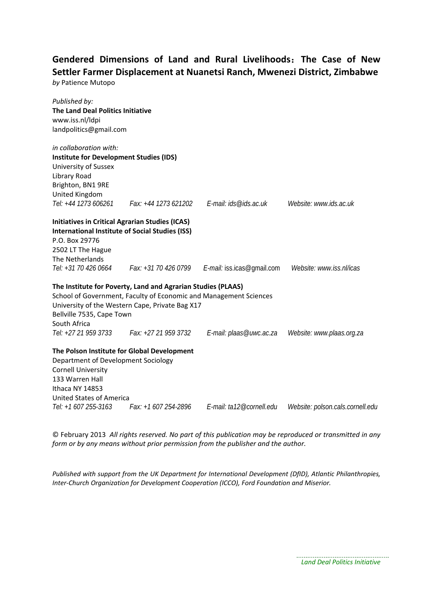# **Gendered Dimensions of Land and Rural Livelihoods**:**The Case of New Settler Farmer Displacement at Nuanetsi Ranch, Mwenezi District, Zimbabwe**

*by* Patience Mutopo

| Published by:                                  |                                                                   |                                                                      |                                  |
|------------------------------------------------|-------------------------------------------------------------------|----------------------------------------------------------------------|----------------------------------|
| The Land Deal Politics Initiative              |                                                                   |                                                                      |                                  |
| www.iss.nl/ldpi                                |                                                                   |                                                                      |                                  |
| landpolitics@gmail.com                         |                                                                   |                                                                      |                                  |
| in collaboration with:                         |                                                                   |                                                                      |                                  |
| <b>Institute for Development Studies (IDS)</b> |                                                                   |                                                                      |                                  |
| University of Sussex                           |                                                                   |                                                                      |                                  |
| Library Road                                   |                                                                   |                                                                      |                                  |
| Brighton, BN1 9RE                              |                                                                   |                                                                      |                                  |
| United Kingdom                                 |                                                                   |                                                                      |                                  |
|                                                | Tel: +44 1273 606261 Fax: +44 1273 621202 E-mail: ids@ids.ac.uk   |                                                                      | Website: www.ids.ac.uk           |
|                                                | <b>Initiatives in Critical Agrarian Studies (ICAS)</b>            |                                                                      |                                  |
|                                                | <b>International Institute of Social Studies (ISS)</b>            |                                                                      |                                  |
| P.O. Box 29776                                 |                                                                   |                                                                      |                                  |
| 2502 LT The Hague                              |                                                                   |                                                                      |                                  |
| The Netherlands                                |                                                                   |                                                                      |                                  |
|                                                |                                                                   | Tel: +31 70 426 0664 Fax: +31 70 426 0799 E-mail: iss.icas@gmail.com | Website: www.iss.nl/icas         |
|                                                | The Institute for Poverty, Land and Agrarian Studies (PLAAS)      |                                                                      |                                  |
|                                                | School of Government, Faculty of Economic and Management Sciences |                                                                      |                                  |
|                                                | University of the Western Cape, Private Bag X17                   |                                                                      |                                  |
| Bellville 7535, Cape Town                      |                                                                   |                                                                      |                                  |
| South Africa                                   |                                                                   |                                                                      |                                  |
| Tel: +27 21 959 3733                           | Fax: +27 21 959 3732                                              | E-mail: plaas@uwc.ac.za                                              | Website: www.plaas.org.za        |
|                                                | The Polson Institute for Global Development                       |                                                                      |                                  |
| Department of Development Sociology            |                                                                   |                                                                      |                                  |
| <b>Cornell University</b>                      |                                                                   |                                                                      |                                  |
| 133 Warren Hall                                |                                                                   |                                                                      |                                  |
| Ithaca NY 14853                                |                                                                   |                                                                      |                                  |
| <b>United States of America</b>                |                                                                   |                                                                      |                                  |
| Tel: +1 607 255-3163                           | Fax: +1 607 254-2896                                              | E-mail: ta12@cornell.edu                                             | Website: polson.cals.cornell.edu |

© February 2013 *All rights reserved. No part of this publication may be reproduced or transmitted in any form or by any means without prior permission from the publisher and the author.*

*Published with support from the UK Department for International Development (DfID), Atlantic Philanthropies, Inter‐Church Organization for Development Cooperation (ICCO), Ford Foundation and Miserior.*

> . . . . . . . . . . *Land Deal Politics Initiative*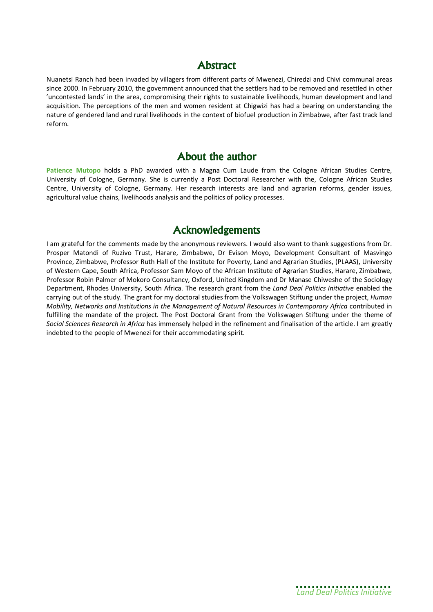### **Abstract**

Nuanetsi Ranch had been invaded by villagers from different parts of Mwenezi, Chiredzi and Chivi communal areas since 2000. In February 2010, the government announced that the settlers had to be removed and resettled in other 'uncontested lands' in the area, compromising their rights to sustainable livelihoods, human development and land acquisition. The perceptions of the men and women resident at Chigwizi has had a bearing on understanding the nature of gendered land and rural livelihoods in the context of biofuel production in Zimbabwe, after fast track land reform.

### **About the author**

Patience Mutopo holds a PhD awarded with a Magna Cum Laude from the Cologne African Studies Centre, University of Cologne, Germany. She is currently a Post Doctoral Researcher with the, Cologne African Studies Centre, University of Cologne, Germany. Her research interests are land and agrarian reforms, gender issues, agricultural value chains, livelihoods analysis and the politics of policy processes.

### **Acknowledgements**

I am grateful for the comments made by the anonymous reviewers. I would also want to thank suggestions from Dr. Prosper Matondi of Ruzivo Trust, Harare, Zimbabwe, Dr Evison Moyo, Development Consultant of Masvingo Province, Zimbabwe, Professor Ruth Hall of the Institute for Poverty, Land and Agrarian Studies, (PLAAS), University of Western Cape, South Africa, Professor Sam Moyo of the African Institute of Agrarian Studies, Harare, Zimbabwe, Professor Robin Palmer of Mokoro Consultancy, Oxford, United Kingdom and Dr Manase Chiweshe of the Sociology Department, Rhodes University, South Africa. The research grant from the *Land Deal Politics Initiative* enabled the carrying out of the study. The grant for my doctoral studies from the Volkswagen Stiftung under the project, *Human Mobility, Networks and Institutions in the Management of Natural Resources in Contemporary Africa* contributed in fulfilling the mandate of the project. The Post Doctoral Grant from the Volkswagen Stiftung under the theme of *Social Sciences Research in Africa* has immensely helped in the refinement and finalisation of the article. I am greatly indebted to the people of Mwenezi for their accommodating spirit.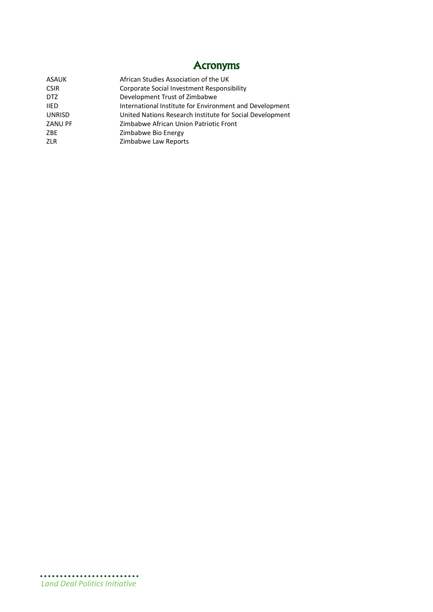# **Acronyms**

| <b>ASAUK</b>   | African Studies Association of the UK                    |
|----------------|----------------------------------------------------------|
| <b>CSIR</b>    | Corporate Social Investment Responsibility               |
| DTZ.           | Development Trust of Zimbabwe                            |
| <b>IIED</b>    | International Institute for Environment and Development  |
| <b>UNRISD</b>  | United Nations Research Institute for Social Development |
| <b>ZANU PF</b> | Zimbabwe African Union Patriotic Front                   |
| ZBE            | Zimbabwe Bio Energy                                      |
| <b>ZLR</b>     | Zimbabwe Law Reports                                     |
|                |                                                          |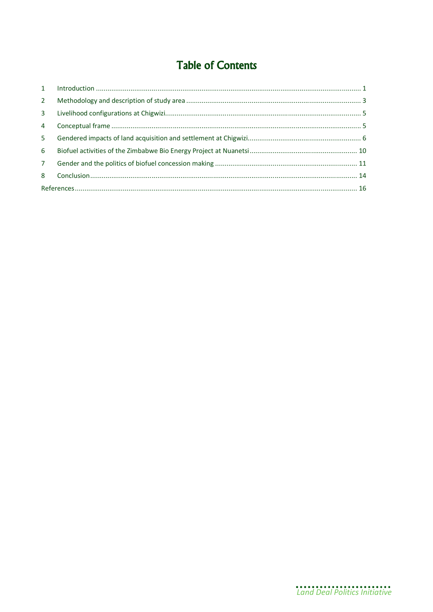# **Table of Contents**

| $2^{\circ}$    |  |
|----------------|--|
| $\mathbf{3}$   |  |
| $\overline{4}$ |  |
| 5 <sup>1</sup> |  |
| 6              |  |
| 7 <sup>7</sup> |  |
| 8              |  |
|                |  |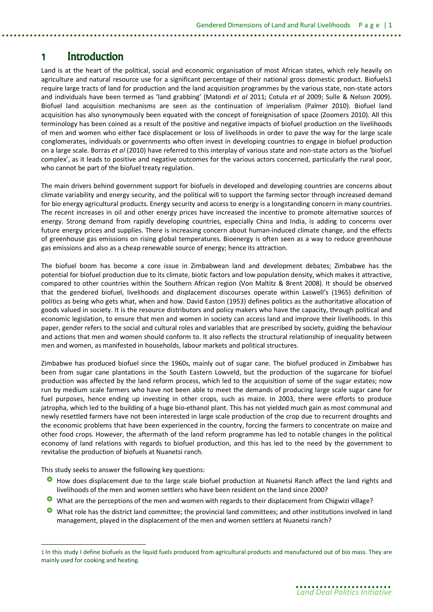### **1 Introduction**

Land is at the heart of the political, social and economic organisation of most African states, which rely heavily on agriculture and natural resource use for a significant percentage of their national gross domestic product. Biofuels1 require large tracts of land for production and the land acquisition programmes by the various state, non-state actors and individuals have been termed as 'land grabbing' (Matondi *et al* 2011; Cotula *et al* 2009; Sulle & Nelson 2009). Biofuel land acquisition mechanisms are seen as the continuation of imperialism (Palmer 2010). Biofuel land acquisition has also synonymously been equated with the concept of foreignisation of space (Zoomers 2010). All this terminology has been coined as a result of the positive and negative impacts of biofuel production on the livelihoods of men and women who either face displacement or loss of livelihoods in order to pave the way for the large scale conglomerates, individuals or governments who often invest in developing countries to engage in biofuel production on a large scale. Borras *et al* (2010) have referred to this interplay of various state and non-state actors as the 'biofuel complex', as it leads to positive and negative outcomes for the various actors concerned, particularly the rural poor, who cannot be part of the biofuel treaty regulation.

The main drivers behind government support for biofuels in developed and developing countries are concerns about climate variability and energy security, and the political will to support the farming sector through increased demand for bio energy agricultural products. Energy security and access to energy is a longstanding concern in many countries. The recent increases in oil and other energy prices have increased the incentive to promote alternative sources of energy. Strong demand from rapidly developing countries, especially China and India, is adding to concerns over future energy prices and supplies. There is increasing concern about human-induced climate change, and the effects of greenhouse gas emissions on rising global temperatures. Bioenergy is often seen as a way to reduce greenhouse gas emissions and also as a cheap renewable source of energy; hence its attraction.

The biofuel boom has become a core issue in Zimbabwean land and development debates; Zimbabwe has the potential for biofuel production due to its climate, biotic factors and low population density, which makes it attractive, compared to other countries within the Southern African region (Von Maltitz & Brent 2008). It should be observed that the gendered biofuel, livelihoods and displacement discourses operate within Laswell's (1965) definition of politics as being who gets what, when and how. David Easton (1953) defines politics as the authoritative allocation of goods valued in society. It is the resource distributors and policy makers who have the capacity, through political and economic legislation, to ensure that men and women in society can access land and improve their livelihoods. In this paper, gender refers to the social and cultural roles and variables that are prescribed by society, guiding the behaviour and actions that men and women should conform to. It also reflects the structural relationship of inequality between men and women, as manifested in households, labour markets and political structures.

Zimbabwe has produced biofuel since the 1960s, mainly out of sugar cane. The biofuel produced in Zimbabwe has been from sugar cane plantations in the South Eastern Lowveld, but the production of the sugarcane for biofuel production was affected by the land reform process, which led to the acquisition of some of the sugar estates; now run by medium scale farmers who have not been able to meet the demands of producing large scale sugar cane for fuel purposes, hence ending up investing in other crops, such as maize. In 2003, there were efforts to produce jatropha, which led to the building of a huge bio-ethanol plant. This has not yielded much gain as most communal and newly resettled farmers have not been interested in large scale production of the crop due to recurrent droughts and the economic problems that have been experienced in the country, forcing the farmers to concentrate on maize and other food crops. However, the aftermath of the land reform programme has led to notable changes in the political economy of land relations with regards to biofuel production, and this has led to the need by the government to revitalise the production of biofuels at Nuanetsi ranch.

This study seeks to answer the following key questions:

- **O** How does displacement due to the large scale biofuel production at Nuanetsi Ranch affect the land rights and livelihoods of the men and women settlers who have been resident on the land since 2000?
- O What are the perceptions of the men and women with regards to their displacement from Chigwizi village?
- What role has the district land committee; the provincial land committees; and other institutions involved in land management, played in the displacement of the men and women settlers at Nuanetsi ranch?

<sup>1</sup> In this study I define biofuels as the liquid fuels produced from agricultural products and manufactured out of bio mass. They are mainly used for cooking and heating.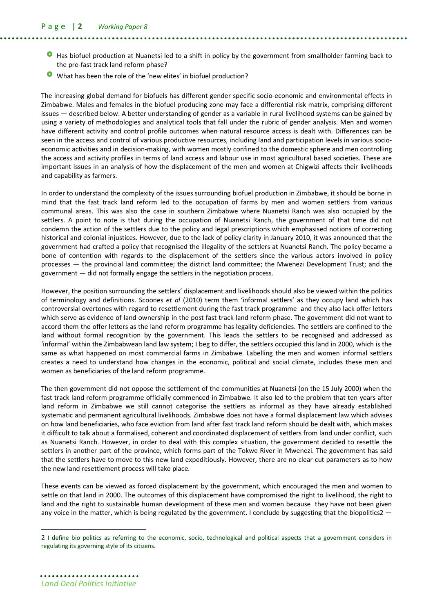- Has biofuel production at Nuanetsi led to a shift in policy by the government from smallholder farming back to the pre-fast track land reform phase?
- What has been the role of the 'new elites' in biofuel production?

The increasing global demand for biofuels has different gender specific socio-economic and environmental effects in Zimbabwe. Males and females in the biofuel producing zone may face a differential risk matrix, comprising different issues — described below. A better understanding of gender as a variable in rural livelihood systems can be gained by using a variety of methodologies and analytical tools that fall under the rubric of gender analysis. Men and women have different activity and control profile outcomes when natural resource access is dealt with. Differences can be seen in the access and control of various productive resources, including land and participation levels in various socioeconomic activities and in decision-making, with women mostly confined to the domestic sphere and men controlling the access and activity profiles in terms of land access and labour use in most agricultural based societies. These are important issues in an analysis of how the displacement of the men and women at Chigwizi affects their livelihoods and capability as farmers.

In order to understand the complexity of the issues surrounding biofuel production in Zimbabwe, it should be borne in mind that the fast track land reform led to the occupation of farms by men and women settlers from various communal areas. This was also the case in southern Zimbabwe where Nuanetsi Ranch was also occupied by the settlers. A point to note is that during the occupation of Nuanetsi Ranch, the government of that time did not condemn the action of the settlers due to the policy and legal prescriptions which emphasised notions of correcting historical and colonial injustices. However, due to the lack of policy clarity in January 2010, it was announced that the government had crafted a policy that recognised the illegality of the settlers at Nuanetsi Ranch. The policy became a bone of contention with regards to the displacement of the settlers since the various actors involved in policy processes — the provincial land committee; the district land committee; the Mwenezi Development Trust; and the government — did not formally engage the settlers in the negotiation process.

However, the position surrounding the settlers' displacement and livelihoods should also be viewed within the politics of terminology and definitions. Scoones *et al* (2010) term them 'informal settlers' as they occupy land which has controversial overtones with regard to resettlement during the fast track programme and they also lack offer letters which serve as evidence of land ownership in the post fast track land reform phase. The government did not want to accord them the offer letters as the land reform programme has legality deficiencies. The settlers are confined to the land without formal recognition by the government. This leads the settlers to be recognised and addressed as 'informal' within the Zimbabwean land law system; I beg to differ, the settlers occupied this land in 2000, which is the same as what happened on most commercial farms in Zimbabwe. Labelling the men and women informal settlers creates a need to understand how changes in the economic, political and social climate, includes these men and women as beneficiaries of the land reform programme.

The then government did not oppose the settlement of the communities at Nuanetsi (on the 15 July 2000) when the fast track land reform programme officially commenced in Zimbabwe. It also led to the problem that ten years after land reform in Zimbabwe we still cannot categorise the settlers as informal as they have already established systematic and permanent agricultural livelihoods. Zimbabwe does not have a formal displacement law which advises on how land beneficiaries, who face eviction from land after fast track land reform should be dealt with, which makes it difficult to talk about a formalised, coherent and coordinated displacement of settlers from land under conflict, such as Nuanetsi Ranch. However, in order to deal with this complex situation, the government decided to resettle the settlers in another part of the province, which forms part of the Tokwe River in Mwenezi. The government has said that the settlers have to move to this new land expeditiously. However, there are no clear cut parameters as to how the new land resettlement process will take place.

These events can be viewed as forced displacement by the government, which encouraged the men and women to settle on that land in 2000. The outcomes of this displacement have compromised the right to livelihood, the right to land and the right to sustainable human development of these men and women because they have not been given any voice in the matter, which is being regulated by the government. I conclude by suggesting that the biopolitics2 –

<sup>2</sup> I define bio politics as referring to the economic, socio, technological and political aspects that a government considers in regulating its governing style of its citizens.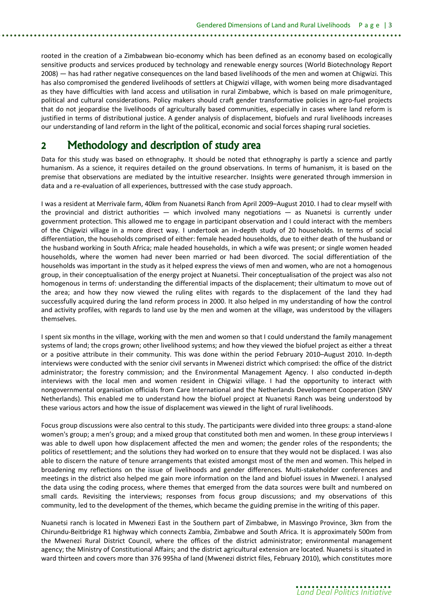rooted in the creation of a Zimbabwean bio-economy which has been defined as an economy based on ecologically sensitive products and services produced by technology and renewable energy sources (World Biotechnology Report 2008) — has had rather negative consequences on the land based livelihoods of the men and women at Chigwizi. This has also compromised the gendered livelihoods of settlers at Chigwizi village, with women being more disadvantaged as they have difficulties with land access and utilisation in rural Zimbabwe, which is based on male primogeniture, political and cultural considerations. Policy makers should craft gender transformative policies in agro-fuel projects that do not jeopardise the livelihoods of agriculturally based communities, especially in cases where land reform is justified in terms of distributional justice. A gender analysis of displacement, biofuels and rural livelihoods increases our understanding of land reform in the light of the political, economic and social forces shaping rural societies.

# **2 Methodology and description of study area**

Data for this study was based on ethnography. It should be noted that ethnography is partly a science and partly humanism. As a science, it requires detailed on the ground observations. In terms of humanism, it is based on the premise that observations are mediated by the intuitive researcher. Insights were generated through immersion in data and a re-evaluation of all experiences, buttressed with the case study approach.

I was a resident at Merrivale farm, 40km from Nuanetsi Ranch from April 2009–August 2010. I had to clear myself with the provincial and district authorities  $-$  which involved many negotiations  $-$  as Nuanetsi is currently under government protection. This allowed me to engage in participant observation and I could interact with the members of the Chigwizi village in a more direct way. I undertook an in-depth study of 20 households. In terms of social differentiation, the households comprised of either: female headed households, due to either death of the husband or the husband working in South Africa; male headed households, in which a wife was present; or single women headed households, where the women had never been married or had been divorced. The social differentiation of the households was important in the study as it helped express the views of men and women, who are not a homogenous group, in their conceptualisation of the energy project at Nuanetsi. Their conceptualisation of the project was also not homogenous in terms of: understanding the differential impacts of the displacement; their ultimatum to move out of the area; and how they now viewed the ruling elites with regards to the displacement of the land they had successfully acquired during the land reform process in 2000. It also helped in my understanding of how the control and activity profiles, with regards to land use by the men and women at the village, was understood by the villagers themselves.

I spent six months in the village, working with the men and women so that I could understand the family management systems of land; the crops grown; other livelihood systems; and how they viewed the biofuel project as either a threat or a positive attribute in their community. This was done within the period February 2010–August 2010. In-depth interviews were conducted with the senior civil servants in Mwenezi district which comprised: the office of the district administrator; the forestry commission; and the Environmental Management Agency. I also conducted in-depth interviews with the local men and women resident in Chigwizi village. I had the opportunity to interact with nongovernmental organisation officials from Care International and the Netherlands Development Cooperation (SNV Netherlands). This enabled me to understand how the biofuel project at Nuanetsi Ranch was being understood by these various actors and how the issue of displacement was viewed in the light of rural livelihoods.

Focus group discussions were also central to this study. The participants were divided into three groups: a stand-alone women's group; a men's group; and a mixed group that constituted both men and women. In these group interviews I was able to dwell upon how displacement affected the men and women; the gender roles of the respondents; the politics of resettlement; and the solutions they had worked on to ensure that they would not be displaced. I was also able to discern the nature of tenure arrangements that existed amongst most of the men and women. This helped in broadening my reflections on the issue of livelihoods and gender differences. Multi-stakeholder conferences and meetings in the district also helped me gain more information on the land and biofuel issues in Mwenezi. I analysed the data using the coding process, where themes that emerged from the data sources were built and numbered on small cards. Revisiting the interviews; responses from focus group discussions; and my observations of this community, led to the development of the themes, which became the guiding premise in the writing of this paper.

Nuanetsi ranch is located in Mwenezi East in the Southern part of Zimbabwe, in Masvingo Province, 3km from the Chirundu-Beitbridge R1 highway which connects Zambia, Zimbabwe and South Africa. It is approximately 500m from the Mwenezi Rural District Council, where the offices of the district administrator; environmental management agency; the Ministry of Constitutional Affairs; and the district agricultural extension are located. Nuanetsi is situated in ward thirteen and covers more than 376 995ha of land (Mwenezi district files, February 2010), which constitutes more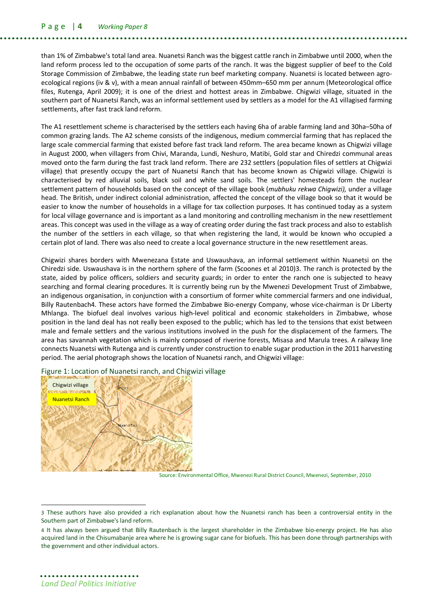than 1% of Zimbabwe's total land area. Nuanetsi Ranch was the biggest cattle ranch in Zimbabwe until 2000, when the land reform process led to the occupation of some parts of the ranch. It was the biggest supplier of beef to the Cold Storage Commission of Zimbabwe, the leading state run beef marketing company. Nuanetsi is located between agroecological regions (iv & v), with a mean annual rainfall of between 450mm–650 mm per annum (Meteorological office files, Rutenga, April 2009); it is one of the driest and hottest areas in Zimbabwe. Chigwizi village, situated in the southern part of Nuanetsi Ranch, was an informal settlement used by settlers as a model for the A1 villagised farming settlements, after fast track land reform.

The A1 resettlement scheme is characterised by the settlers each having 6ha of arable farming land and 30ha–50ha of common grazing lands. The A2 scheme consists of the indigenous, medium commercial farming that has replaced the large scale commercial farming that existed before fast track land reform. The area became known as Chigwizi village in August 2000, when villagers from Chivi, Maranda, Lundi, Neshuro, Matibi, Gold star and Chiredzi communal areas moved onto the farm during the fast track land reform. There are 232 settlers (population files of settlers at Chigwizi village) that presently occupy the part of Nuanetsi Ranch that has become known as Chigwizi village. Chigwizi is characterised by red alluvial soils, black soil and white sand soils. The settlers' homesteads form the nuclear settlement pattern of households based on the concept of the village book (*mubhuku rekwa Chigwizi),* under a village head. The British, under indirect colonial administration, affected the concept of the village book so that it would be easier to know the number of households in a village for tax collection purposes. It has continued today as a system for local village governance and is important as a land monitoring and controlling mechanism in the new resettlement areas. This concept was used in the village as a way of creating order during the fast track process and also to establish the number of the settlers in each village, so that when registering the land, it would be known who occupied a certain plot of land. There was also need to create a local governance structure in the new resettlement areas.

Chigwizi shares borders with Mwenezana Estate and Uswaushava, an informal settlement within Nuanetsi on the Chiredzi side. Uswaushava is in the northern sphere of the farm (Scoones et al 2010)3. The ranch is protected by the state, aided by police officers, soldiers and security guards; in order to enter the ranch one is subjected to heavy searching and formal clearing procedures. It is currently being run by the Mwenezi Development Trust of Zimbabwe, an indigenous organisation, in conjunction with a consortium of former white commercial farmers and one individual, Billy Rautenbach4. These actors have formed the Zimbabwe Bio-energy Company, whose vice-chairman is Dr Liberty Mhlanga. The biofuel deal involves various high-level political and economic stakeholders in Zimbabwe, whose position in the land deal has not really been exposed to the public; which has led to the tensions that exist between male and female settlers and the various institutions involved in the push for the displacement of the farmers. The area has savannah vegetation which is mainly composed of riverine forests, Misasa and Marula trees. A railway line connects Nuanetsi with Rutenga and is currently under construction to enable sugar production in the 2011 harvesting period. The aerial photograph shows the location of Nuanetsi ranch, and Chigwizi village:



Figure 1: Location of Nuanetsi ranch, and Chigwizi village

Source: Environmental Office, Mwenezi Rural District Council, Mwenezi, September, 2010

<sup>3</sup> These authors have also provided a rich explanation about how the Nuanetsi ranch has been a controversial entity in the Southern part of Zimbabwe's land reform.

<sup>4</sup> It has always been argued that Billy Rautenbach is the largest shareholder in the Zimbabwe bio-energy project. He has also acquired land in the Chisumabanje area where he is growing sugar cane for biofuels. This has been done through partnerships with the government and other individual actors.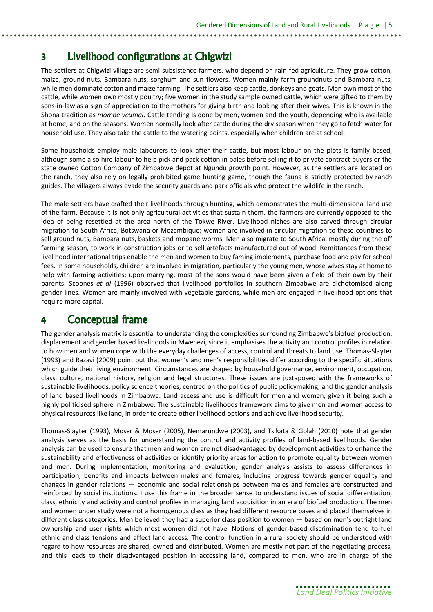## **3 Livelihood configurations at Chigwizi**

The settlers at Chigwizi village are semi-subsistence farmers, who depend on rain-fed agriculture. They grow cotton, maize, ground nuts, Bambara nuts, sorghum and sun flowers. Women mainly farm groundnuts and Bambara nuts, while men dominate cotton and maize farming. The settlers also keep cattle, donkeys and goats. Men own most of the cattle, while women own mostly poultry; five women in the study sample owned cattle, which were gifted to them by sons-in-law as a sign of appreciation to the mothers for giving birth and looking after their wives. This is known in the Shona tradition as *mombe yeumai*. Cattle tending is done by men, women and the youth, depending who is available at home, and on the seasons. Women normally look after cattle during the dry season when they go to fetch water for household use. They also take the cattle to the watering points, especially when children are at school.

Some households employ male labourers to look after their cattle, but most labour on the plots is family based, although some also hire labour to help pick and pack cotton in bales before selling it to private contract buyers or the state owned Cotton Company of Zimbabwe depot at Ngundu growth point. However, as the settlers are located on the ranch, they also rely on legally prohibited game hunting game, though the fauna is strictly protected by ranch guides. The villagers always evade the security guards and park officials who protect the wildlife in the ranch.

The male settlers have crafted their livelihoods through hunting, which demonstrates the multi-dimensional land use of the farm. Because it is not only agricultural activities that sustain them, the farmers are currently opposed to the idea of being resettled at the area north of the Tokwe River. Livelihood niches are also carved through circular migration to South Africa, Botswana or Mozambique; women are involved in circular migration to these countries to sell ground nuts, Bambara nuts, baskets and mopane worms. Men also migrate to South Africa, mostly during the off farming season, to work in construction jobs or to sell artefacts manufactured out of wood. Remittances from these livelihood international trips enable the men and women to buy faming implements, purchase food and pay for school fees. In some households, children are involved in migration, particularly the young men, whose wives stay at home to help with farming activities; upon marrying, most of the sons would have been given a field of their own by their parents. Scoones *et al* (1996) observed that livelihood portfolios in southern Zimbabwe are dichotomised along gender lines. Women are mainly involved with vegetable gardens, while men are engaged in livelihood options that require more capital.

## **4 Conceptual frame**

The gender analysis matrix is essential to understanding the complexities surrounding Zimbabwe's biofuel production, displacement and gender based livelihoods in Mwenezi, since it emphasises the activity and control profiles in relation to how men and women cope with the everyday challenges of access, control and threats to land use. Thomas-Slayter (1993) and Razavi (2009) point out that women's and men's responsibilities differ according to the specific situations which guide their living environment. Circumstances are shaped by household governance, environment, occupation, class, culture, national history, religion and legal structures. These issues are juxtaposed with the frameworks of sustainable livelihoods; policy science theories, centred on the politics of public policymaking; and the gender analysis of land based livelihoods in Zimbabwe. Land access and use is difficult for men and women, given it being such a highly politicised sphere in Zimbabwe. The sustainable livelihoods framework aims to give men and women access to physical resources like land, in order to create other livelihood options and achieve livelihood security.

Thomas-Slayter (1993), Moser & Moser (2005), Nemarundwe (2003), and Tsikata & Golah (2010) note that gender analysis serves as the basis for understanding the control and activity profiles of land-based livelihoods. Gender analysis can be used to ensure that men and women are not disadvantaged by development activities to enhance the sustainability and effectiveness of activities or identify priority areas for action to promote equality between women and men. During implementation, monitoring and evaluation, gender analysis assists to assess differences in participation, benefits and impacts between males and females, including progress towards gender equality and changes in gender relations — economic and social relationships between males and females are constructed and reinforced by social institutions. I use this frame in the broader sense to understand issues of social differentiation, class, ethnicity and activity and control profiles in managing land acquisition in an era of biofuel production. The men and women under study were not a homogenous class as they had different resource bases and placed themselves in different class categories. Men believed they had a superior class position to women — based on men's outright land ownership and user rights which most women did not have. Notions of gender-based discrimination tend to fuel ethnic and class tensions and affect land access. The control function in a rural society should be understood with regard to how resources are shared, owned and distributed. Women are mostly not part of the negotiating process, and this leads to their disadvantaged position in accessing land, compared to men, who are in charge of the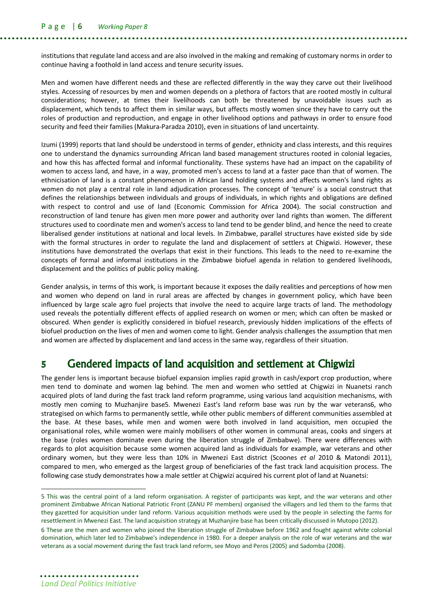institutions that regulate land access and are also involved in the making and remaking of customary norms in order to continue having a foothold in land access and tenure security issues.

Men and women have different needs and these are reflected differently in the way they carve out their livelihood styles. Accessing of resources by men and women depends on a plethora of factors that are rooted mostly in cultural considerations; however, at times their livelihoods can both be threatened by unavoidable issues such as displacement, which tends to affect them in similar ways, but affects mostly women since they have to carry out the roles of production and reproduction, and engage in other livelihood options and pathways in order to ensure food security and feed their families (Makura-Paradza 2010), even in situations of land uncertainty.

Izumi (1999) reports that land should be understood in terms of gender, ethnicity and class interests, and this requires one to understand the dynamics surrounding African land based management structures rooted in colonial legacies, and how this has affected formal and informal functionality. These systems have had an impact on the capability of women to access land, and have, in a way, promoted men's access to land at a faster pace than that of women. The ethnicisation of land is a constant phenomenon in African land holding systems and affects women's land rights as women do not play a central role in land adjudication processes. The concept of 'tenure' is a social construct that defines the relationships between individuals and groups of individuals, in which rights and obligations are defined with respect to control and use of land (Economic Commission for Africa 2004). The social construction and reconstruction of land tenure has given men more power and authority over land rights than women. The different structures used to coordinate men and women's access to land tend to be gender blind, and hence the need to create liberalised gender institutions at national and local levels. In Zimbabwe, parallel structures have existed side by side with the formal structures in order to regulate the land and displacement of settlers at Chigwizi. However, these institutions have demonstrated the overlaps that exist in their functions. This leads to the need to re-examine the concepts of formal and informal institutions in the Zimbabwe biofuel agenda in relation to gendered livelihoods, displacement and the politics of public policy making.

Gender analysis, in terms of this work, is important because it exposes the daily realities and perceptions of how men and women who depend on land in rural areas are affected by changes in government policy, which have been influenced by large scale agro fuel projects that involve the need to acquire large tracts of land. The methodology used reveals the potentially different effects of applied research on women or men; which can often be masked or obscured. When gender is explicitly considered in biofuel research, previously hidden implications of the effects of biofuel production on the lives of men and women come to light. Gender analysis challenges the assumption that men and women are affected by displacement and land access in the same way, regardless of their situation.

## **5 Gendered impacts of land acquisition and settlement at Chigwizi**

The gender lens is important because biofuel expansion implies rapid growth in cash/export crop production, where men tend to dominate and women lag behind. The men and women who settled at Chigwizi in Nuanetsi ranch acquired plots of land during the fast track land reform programme, using various land acquisition mechanisms, with mostly men coming to Muzhanjire base5. Mwenezi East's land reform base was run by the war veterans6, who strategised on which farms to permanently settle, while other public members of different communities assembled at the base. At these bases, while men and women were both involved in land acquisition, men occupied the organisational roles, while women were mainly mobilisers of other women in communal areas, cooks and singers at the base (roles women dominate even during the liberation struggle of Zimbabwe). There were differences with regards to plot acquisition because some women acquired land as individuals for example, war veterans and other ordinary women, but they were less than 10% in Mwenezi East district (Scoones *et al* 2010 & Matondi 2011), compared to men, who emerged as the largest group of beneficiaries of the fast track land acquisition process. The following case study demonstrates how a male settler at Chigwizi acquired his current plot of land at Nuanetsi:

<sup>5</sup> This was the central point of a land reform organisation. A register of participants was kept, and the war veterans and other prominent Zimbabwe African National Patriotic Front (ZANU PF members) organised the villagers and led them to the farms that they gazetted for acquisition under land reform. Various acquisition methods were used by the people in selecting the farms for resettlement in Mwenezi East. The land acquisition strategy at Muzhanjire base has been critically discussed in Mutopo (2012).

<sup>6</sup> These are the men and women who joined the liberation struggle of Zimbabwe before 1962 and fought against white colonial domination, which later led to Zimbabwe's independence in 1980. For a deeper analysis on the role of war veterans and the war veterans as a social movement during the fast track land reform, see Moyo and Peros (2005) and Sadomba (2008).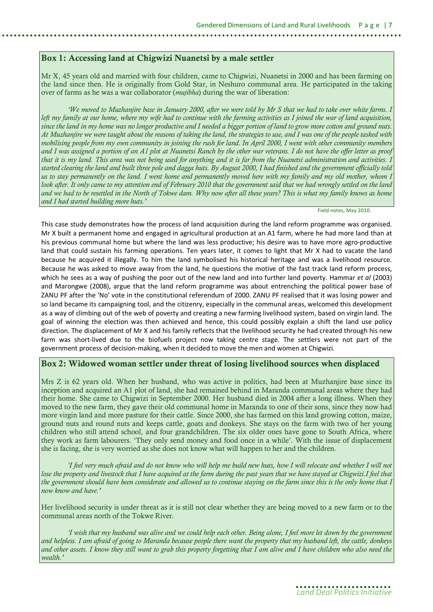### **Box 1: Accessing land at Chigwizi Nuanetsi by a male settler**

Mr X, 45 years old and married with four children, came to Chigwizi, Nuanetsi in 2000 and has been farming on the land since then. He is originally from Gold Star, in Neshuro communal area. He participated in the taking over of farms as he was a war collaborator (*mujibha*) during the war of liberation:

*'We moved to Muzhanjire base in January 2000, after we were told by Mr S that we had to take over white farms. I left my family at our home, where my wife had to continue with the farming activities as I joined the war of land acquisition, since the land in my home was no longer productive and I needed a bigger portion of land to grow more cotton and ground nuts. At Muzhanjire we were taught about the reasons of taking the land, the strategies to use, and I was one of the people tasked with mobilising people from my own community in joining the rush for land. In April 2000, I went with other community members*  and I was assigned a portion of an A1 plot at Nuanetsi Ranch by the other war veterans. I do not have the offer letter as proof *that it is my land. This area was not being used for anything and it is far from the Nuanetsi administration and activities. I started clearing the land and built three pole and dagga huts. By August 2000, I had finished and the government officially told us to stay permanently on the land. I went home and permanently moved here with my family and my old mother, whom I*  look after. It only came to my attention end of February 2010 that the government said that we had wrongly settled on the land *and we had to be resettled in the North of Tokwe dam. Why now after all these years? This is what my family knows as home and I had started building more huts.'*

Field notes, May 2010.

This case study demonstrates how the process of land acquisition during the land reform programme was organised. Mr X built a permanent home and engaged in agricultural production at an A1 farm, where he had more land than at his previous communal home but where the land was less productive; his desire was to have more agro-productive land that could sustain his farming operations. Ten years later, it comes to light that Mr X had to vacate the land because he acquired it illegally. To him the land symbolised his historical heritage and was a livelihood resource. Because he was asked to move away from the land, he questions the motive of the fast track land reform process, which he sees as a way of pushing the poor out of the new land and into further land poverty. Hammar *et al* (2003) and Marongwe (2008), argue that the land reform programme was about entrenching the political power base of ZANU PF after the 'No' vote in the constitutional referendum of 2000. ZANU PF realised that it was losing power and so land became its campaigning tool, and the citizenry, especially in the communal areas, welcomed this development as a way of climbing out of the web of poverty and creating a new farming livelihood system, based on virgin land. The goal of winning the election was then achieved and hence, this could possibly explain a shift the land use policy direction. The displacement of Mr X and his family reflects that the livelihood security he had created through his new farm was short-lived due to the biofuels project now taking centre stage. The settlers were not part of the government process of decision-making, when it decided to move the men and women at Chigwizi.

### **Box 2: Widowed woman settler under threat of losing livelihood sources when displaced**

Mrs Z is 62 years old. When her husband, who was active in politics, had been at Muzhanjire base since its inception and acquired an A1 plot of land, she had remained behind in Maranda communal areas where they had their home. She came to Chigwizi in September 2000. Her husband died in 2004 after a long illness. When they moved to the new farm, they gave their old communal home in Maranda to one of their sons, since they now had more virgin land and more pasture for their cattle. Since 2000, she has farmed on this land growing cotton, maize, ground nuts and round nuts and keeps cattle, goats and donkeys. She stays on the farm with two of her young children who still attend school, and four grandchildren. The six older ones have gone to South Africa, where they work as farm labourers. 'They only send money and food once in a while'. With the issue of displacement she is facing, she is very worried as she does not know what will happen to her and the children.

*'I feel very much afraid and do not know who will help me build new huts, how I will relocate and whether I will not*  lose the property and livestock that I have acquired at the farm during the past years that we have stayed at Chigwizi.I feel that *the government should have been considerate and allowed us to continue staying on the farm since this is the only home that I now know and have.'*

Her livelihood security is under threat as it is still not clear whether they are being moved to a new farm or to the communal areas north of the Tokwe River.

*'I wish that my husband was alive and we could help each other. Being alone, I feel more let down by the government and helpless. I am afraid of going to Maranda because people there want the property that my husband left, the cattle, donkeys and other assets. I know they still want to grab this property forgetting that I am alive and I have children who also need the wealth.'*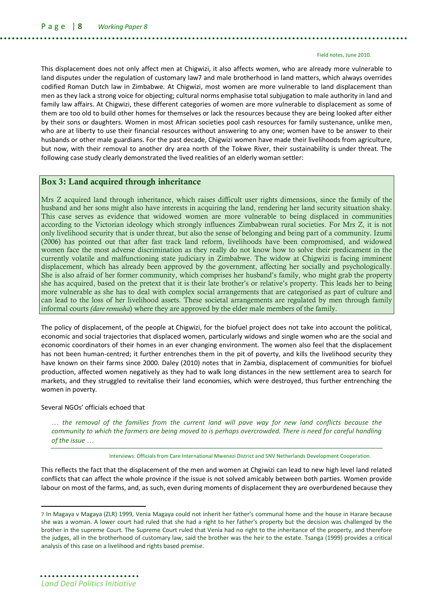#### Field notes, June 2010.

This displacement does not only affect men at Chigwizi, it also affects women, who are already more vulnerable to land disputes under the regulation of customary law7 and male brotherhood in land matters, which always overrides codified Roman Dutch law in Zimbabwe. At Chigwizi, most women are more vulnerable to land displacement than men as they lack a strong voice for objecting; cultural norms emphasise total subjugation to male authority in land and family law affairs. At Chigwizi, these different categories of women are more vulnerable to displacement as some of them are too old to build other homes for themselves or lack the resources because they are being looked after either by their sons or daughters. Women in most African societies pool cash resources for family sustenance, unlike men, who are at liberty to use their financial resources without answering to any one; women have to be answer to their husbands or other male guardians. For the past decade, Chigwizi women have made their livelihoods from agriculture, but now, with their removal to another dry area north of the Tokwe River, their sustainability is under threat. The following case study clearly demonstrated the lived realities of an elderly woman settler:

### **Box 3: Land acquired through inheritance**

Mrs Z acquired land through inheritance, which raises difficult user rights dimensions, since the family of the husband and her sons might also have interests in acquiring the land, rendering her land security situation shaky. This case serves as evidence that widowed women are more vulnerable to being displaced in communities according to the Victorian ideology which strongly influences Zimbabwean rural societies. For Mrs Z, it is not only livelihood security that is under threat, but also the sense of belonging and being part of a community. Izumi (2006) has pointed out that after fast track land reform, livelihoods have been compromised, and widowed women face the most adverse discrimination as they really do not know how to solve their predicament in the currently volatile and malfunctioning state judiciary in Zimbabwe. The widow at Chigwizi is facing imminent displacement, which has already been approved by the government, affecting her socially and psychologically. She is also afraid of her former community, which comprises her husband's family, who might grab the property she has acquired, based on the pretext that it is their late brother's or relative's property. This leads her to being more vulnerable as she has to deal with complex social arrangements that are categorised as part of culture and can lead to the loss of her livelihood assets. These societal arrangements are regulated by men through family informal courts *(dare remusha*) where they are approved by the elder male members of the family.

The policy of displacement, of the people at Chigwizi, for the biofuel project does not take into account the political, economic and social trajectories that displaced women, particularly widows and single women who are the social and economic coordinators of their homes in an ever changing environment. The women also feel that the displacement has not been human-centred; it further entrenches them in the pit of poverty, and kills the livelihood security they have known on their farms since 2000. Daley (2010) notes that in Zambia, displacement of communities for biofuel production, affected women negatively as they had to walk long distances in the new settlement area to search for markets, and they struggled to revitalise their land economies, which were destroyed, thus further entrenching the women in poverty.

#### Several NGOs' officials echoed that

 *the removal of the families from the current land will pave way for new land conflicts because the community to which the farmers are being moved to is perhaps overcrowded. There is need for careful handling of the issue*

Interviews: Officials from Care International Mwenezi District and SNV Netherlands Development Cooperation.

This reflects the fact that the displacement of the men and women at Chgiwizi can lead to new high level land related conflicts that can affect the whole province if the issue is not solved amicably between both parties. Women provide labour on most of the farms, and, as such, even during moments of displacement they are overburdened because they

<sup>7</sup> In Magaya v Magaya (ZLR) 1999, Venia Magaya could not inherit her father's communal home and the house in Harare because she was a woman. A lower court had ruled that she had a right to her father's property but the decision was challenged by the brother in the supreme Court. The Supreme Court ruled that Venia had no right to the inheritance of the property, and therefore the judges, all in the brotherhood of customary law, said the brother was the heir to the estate. Tsanga (1999) provides a critical analysis of this case on a livelihood and rights based premise.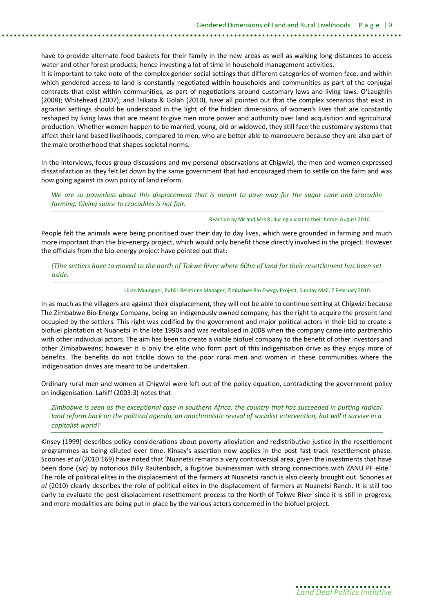have to provide alternate food baskets for their family in the new areas as well as walking long distances to access water and other forest products; hence investing a lot of time in household management activities.

It is important to take note of the complex gender social settings that different categories of women face, and within which gendered access to land is constantly negotiated within households and communities as part of the conjugal contracts that exist within communities, as part of negotiations around customary laws and living laws. O'Laughlin (2008); Whitehead (2007); and Tsikata & Golah (2010), have all pointed out that the complex scenarios that exist in agrarian settings should be understood in the light of the hidden dimensions of women's lives that are constantly reshaped by living laws that are meant to give men more power and authority over land acquisition and agricultural production. Whether women happen to be married, young, old or widowed, they still face the customary systems that affect their land based livelihoods; compared to men, who are better able to manoeuvre because they are also part of the male brotherhood that shapes societal norms.

In the interviews, focus group discussions and my personal observations at Chigwizi, the men and women expressed dissatisfaction as they felt let down by the same government that had encouraged them to settle on the farm and was now going against its own policy of land reform.

*We are so powerless about this displacement that is meant to pave way for the sugar cane and crocodile farming. Giving space to crocodiles is not fair.*

Reaction by Mr and Mrs R, during a visit to their home, August 2010.

People felt the animals were being prioritised over their day to day lives, which were grounded in farming and much more important than the bio-energy project, which would only benefit those directly involved in the project. However the officials from the bio-energy project have pointed out that:

*(T)he settlers have to moved to the north of Tokwe River where 60ha of land for their resettlement has been set aside.*

Lilian Muungani, Public Relations Manager, Zimbabwe Bio Energy Project, Sunday Mail, 7 February 2010.

In as much as the villagers are against their displacement, they will not be able to continue settling at Chigwizi because The Zimbabwe Bio-Energy Company, being an indigenously owned company, has the right to acquire the present land occupied by the settlers. This right was codified by the government and major political actors in their bid to create a biofuel plantation at Nuanetsi in the late 1990s and was revitalised in 2008 when the company came into partnership with other individual actors. The aim has been to create a viable biofuel company to the benefit of other investors and other Zimbabweans; however it is only the elite who form part of this indigenisation drive as they enjoy more of benefits. The benefits do not trickle down to the poor rural men and women in these communities where the indigenisation drives are meant to be undertaken.

Ordinary rural men and women at Chigwizi were left out of the policy equation, contradicting the government policy on indigenisation. Lahiff (2003:3) notes that

### *Zimbabwe is seen as the exceptional case in southern Africa, the country that has succeeded in putting radical land reform back on the political agenda, an anachronistic revival of socialist intervention, but will it survive in a capitalist world?*

Kinsey (1999) describes policy considerations about poverty alleviation and redistributive justice in the resettlement programmes as being diluted over time. Kinsey's assertion now applies in the post fast track resettlement phase. Scoones *et al* (2010:169) have noted that 'Nuanetsi remains a very controversial area, given the investments that have been done (*sic*) by notorious Billy Rautenbach, a fugitive businessman with strong connections with ZANU PF elite.' The role of political elites in the displacement of the farmers at Nuanetsi ranch is also clearly brought out. Scoones *et al* (2010) clearly describes the role of political elites in the displacement of farmers at Nuanetsi Ranch. It is still too early to evaluate the post displacement resettlement process to the North of Tokwe River since it is still in progress, and more modalities are being put in place by the various actors concerned in the biofuel project.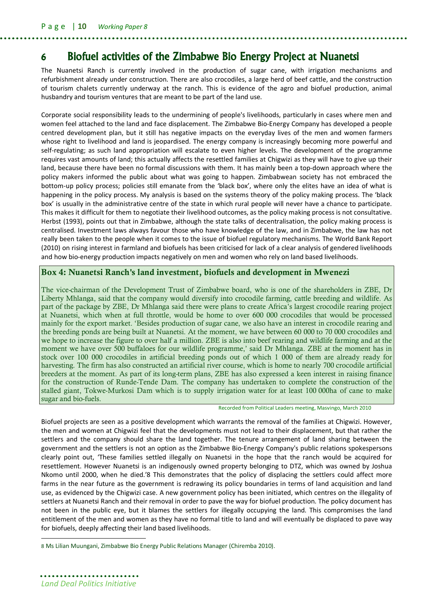## **6 Biofuel activities of the Zimbabwe Bio Energy Project at Nuanetsi**

The Nuanetsi Ranch is currently involved in the production of sugar cane, with irrigation mechanisms and refurbishment already under construction. There are also crocodiles, a large herd of beef cattle, and the construction of tourism chalets currently underway at the ranch. This is evidence of the agro and biofuel production, animal husbandry and tourism ventures that are meant to be part of the land use.

Corporate social responsibility leads to the undermining of people's livelihoods, particularly in cases where men and women feel attached to the land and face displacement. The Zimbabwe Bio-Energy Company has developed a people centred development plan, but it still has negative impacts on the everyday lives of the men and women farmers whose right to livelihood and land is jeopardised. The energy company is increasingly becoming more powerful and self-regulating; as such land appropriation will escalate to even higher levels. The development of the programme requires vast amounts of land; this actually affects the resettled families at Chigwizi as they will have to give up their land, because there have been no formal discussions with them. It has mainly been a top-down approach where the policy makers informed the public about what was going to happen. Zimbabwean society has not embraced the bottom-up policy process; policies still emanate from the 'black box', where only the elites have an idea of what is happening in the policy process. My analysis is based on the systems theory of the policy making process. The 'black box' is usually in the administrative centre of the state in which rural people will never have a chance to participate. This makes it difficult for them to negotiate their livelihood outcomes, as the policy making process is not consultative. Herbst (1993), points out that in Zimbabwe, although the state talks of decentralisation, the policy making process is centralised. Investment laws always favour those who have knowledge of the law, and in Zimbabwe, the law has not really been taken to the people when it comes to the issue of biofuel regulatory mechanisms. The World Bank Report (2010) on rising interest in farmland and biofuels has been criticised for lack of a clear analysis of gendered livelihoods and how bio-energy production impacts negatively on men and women who rely on land based livelihoods.

### **Box 4: Nuanetsi Ranch's land investment, biofuels and development in Mwenezi**

The vice-chairman of the Development Trust of Zimbabwe board, who is one of the shareholders in ZBE, Dr Liberty Mhlanga, said that the company would diversify into crocodile farming, cattle breeding and wildlife. As part of the package by ZBE, Dr Mhlanga said there were plans to create Africa's largest crocodile rearing project at Nuanetsi, which when at full throttle, would be home to over 600 000 crocodiles that would be processed mainly for the export market. 'Besides production of sugar cane, we also have an interest in crocodile rearing and the breeding ponds are being built at Nuanetsi. At the moment, we have between 60 000 to 70 000 crocodiles and we hope to increase the figure to over half a million. ZBE is also into beef rearing and wildlife farming and at the moment we have over 500 buffaloes for our wildlife programme,' said Dr Mhlanga. ZBE at the moment has in stock over 100 000 crocodiles in artificial breeding ponds out of which 1 000 of them are already ready for harvesting. The firm has also constructed an artificial river course, which is home to nearly 700 crocodile artificial breeders at the moment. As part of its long-term plans, ZBE has also expressed a keen interest in raising finance for the construction of Runde-Tende Dam. The company has undertaken to complete the construction of the stalled giant, Tokwe-Murkosi Dam which is to supply irrigation water for at least 100 000ha of cane to make sugar and bio-fuels.

#### Recorded from Political Leaders meeting, Masvingo, March 2010

Biofuel projects are seen as a positive development which warrants the removal of the families at Chigwizi. However, the men and women at Chigwizi feel that the developments must not lead to their displacement, but that rather the settlers and the company should share the land together. The tenure arrangement of land sharing between the government and the settlers is not an option as the Zimbabwe Bio-Energy Company's public relations spokespersons clearly point out, 'These families settled illegally on Nuanetsi in the hope that the ranch would be acquired for resettlement. However Nuanetsi is an indigenously owned property belonging to DTZ, which was owned by Joshua Nkomo until 2000, when he died.'8 This demonstrates that the policy of displacing the settlers could affect more farms in the near future as the government is redrawing its policy boundaries in terms of land acquisition and land use, as evidenced by the Chigwizi case. A new government policy has been initiated, which centres on the illegality of settlers at Nuanetsi Ranch and their removal in order to pave the way for biofuel production. The policy document has not been in the public eye, but it blames the settlers for illegally occupying the land. This compromises the land entitlement of the men and women as they have no formal title to land and will eventually be displaced to pave way for biofuels, deeply affecting their land based livelihoods.

<sup>8</sup> Ms Lilian Muungani, Zimbabwe Bio Energy Public Relations Manager (Chiremba 2010).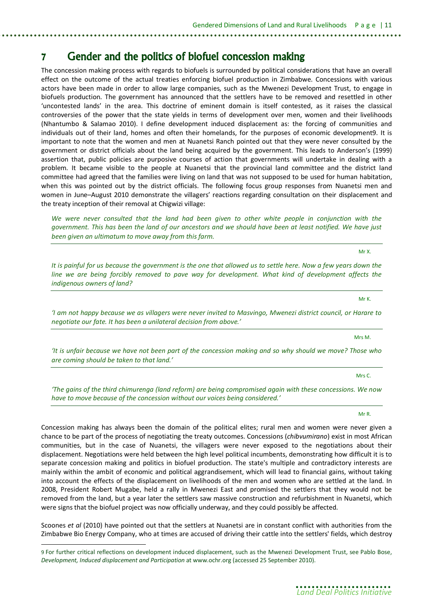**7 Gender and the politics of biofuel concession making** 

The concession making process with regards to biofuels is surrounded by political considerations that have an overall effect on the outcome of the actual treaties enforcing biofuel production in Zimbabwe. Concessions with various actors have been made in order to allow large companies, such as the Mwenezi Development Trust, to engage in biofuels production. The government has announced that the settlers have to be removed and resettled in other 'uncontested lands' in the area. This doctrine of eminent domain is itself contested, as it raises the classical controversies of the power that the state yields in terms of development over men, women and their livelihoods (Nhantumbo & Salamao 2010). I define development induced displacement as: the forcing of communities and individuals out of their land, homes and often their homelands, for the purposes of economic development9. It is important to note that the women and men at Nuanetsi Ranch pointed out that they were never consulted by the government or district officials about the land being acquired by the government. This leads to Anderson's (1999) assertion that, public policies are purposive courses of action that governments will undertake in dealing with a problem. It became visible to the people at Nuanetsi that the provincial land committee and the district land committee had agreed that the families were living on land that was not supposed to be used for human habitation, when this was pointed out by the district officials. The following focus group responses from Nuanetsi men and women in June–August 2010 demonstrate the villagers' reactions regarding consultation on their displacement and the treaty inception of their removal at Chigwizi village:

*We were never consulted that the land had been given to other white people in conjunction with the government. This has been the land of our ancestors and we should have been at least notified. We have just been given an ultimatum to move away from this farm.*

*It is painful for us because the government is the one that allowed us to settle here. Now a few years down the line we are being forcibly removed to pave way for development. What kind of development affects the indigenous owners of land?*

*'I am not happy because we as villagers were never invited to Masvingo, Mwenezi district council, or Harare to negotiate our fate. It has been a unilateral decision from above.'*

*'It is unfair because we have not been part of the concession making and so why should we move? Those who are coming should be taken to that land.'*

*'The gains of the third chimurenga (land reform) are being compromised again with these concessions. We now have to move because of the concession without our voices being considered.'*

Concession making has always been the domain of the political elites; rural men and women were never given a chance to be part of the process of negotiating the treaty outcomes. Concessions (*chibvumirano*) exist in most African communities, but in the case of Nuanetsi, the villagers were never exposed to the negotiations about their displacement. Negotiations were held between the high level political incumbents, demonstrating how difficult it is to separate concession making and politics in biofuel production. The state's multiple and contradictory interests are mainly within the ambit of economic and political aggrandisement, which will lead to financial gains, without taking into account the effects of the displacement on livelihoods of the men and women who are settled at the land. In 2008, President Robert Mugabe, held a rally in Mwenezi East and promised the settlers that they would not be removed from the land, but a year later the settlers saw massive construction and refurbishment in Nuanetsi, which were signs that the biofuel project was now officially underway, and they could possibly be affected.

Scoones *et al* (2010) have pointed out that the settlers at Nuanetsi are in constant conflict with authorities from the Zimbabwe Bio Energy Company, who at times are accused of driving their cattle into the settlers' fields, which destroy

 $\overline{a}$ 

Mrs M.

Mr K.

Mr X.

Mrs C.

Mr R.

<sup>9</sup> For further critical reflections on development induced displacement, such as the Mwenezi Development Trust, see Pablo Bose, *Development, Induced displacement and Participation* at www.ochr.org (accessed 25 September 2010).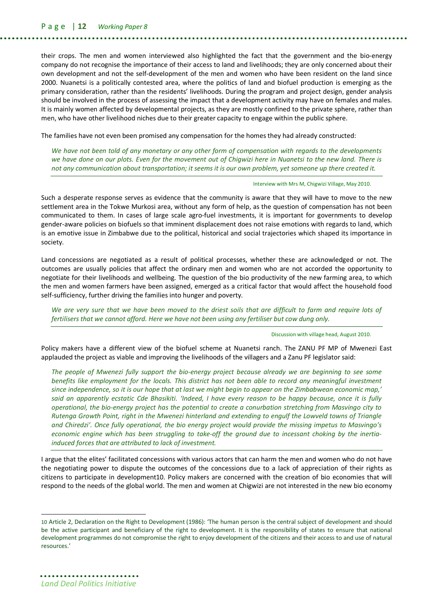their crops. The men and women interviewed also highlighted the fact that the government and the bio-energy company do not recognise the importance of their access to land and livelihoods; they are only concerned about their own development and not the self-development of the men and women who have been resident on the land since 2000. Nuanetsi is a politically contested area, where the politics of land and biofuel production is emerging as the primary consideration, rather than the residents' livelihoods. During the program and project design, gender analysis should be involved in the process of assessing the impact that a development activity may have on females and males. It is mainly women affected by developmental projects, as they are mostly confined to the private sphere, rather than men, who have other livelihood niches due to their greater capacity to engage within the public sphere.

The families have not even been promised any compensation for the homes they had already constructed:

*We have not been told of any monetary or any other form of compensation with regards to the developments we have done on our plots. Even for the movement out of Chigwizi here in Nuanetsi to the new land. There is not any communication about transportation; it seems it is our own problem, yet someone up there created it.*

Interview with Mrs M, Chigwizi Village, May 2010.

Such a desperate response serves as evidence that the community is aware that they will have to move to the new settlement area in the Tokwe Murkosi area, without any form of help, as the question of compensation has not been communicated to them. In cases of large scale agro-fuel investments, it is important for governments to develop gender-aware policies on biofuels so that imminent displacement does not raise emotions with regards to land, which is an emotive issue in Zimbabwe due to the political, historical and social trajectories which shaped its importance in society.

Land concessions are negotiated as a result of political processes, whether these are acknowledged or not. The outcomes are usually policies that affect the ordinary men and women who are not accorded the opportunity to negotiate for their livelihoods and wellbeing. The question of the bio productivity of the new farming area, to which the men and women farmers have been assigned, emerged as a critical factor that would affect the household food self-sufficiency, further driving the families into hunger and poverty.

*We are very sure that we have been moved to the driest soils that are difficult to farm and require lots of fertilisers that we cannot afford. Here we have not been using any fertiliser but cow dung only.*

Discussion with village head, August 2010.

Policy makers have a different view of the biofuel scheme at Nuanetsi ranch. The ZANU PF MP of Mwenezi East applauded the project as viable and improving the livelihoods of the villagers and a Zanu PF legislator said:

*The people of Mwenezi fully support the bio-energy project because already we are beginning to see some*  benefits like employment for the locals. This district has not been able to record any meaningful investment *since independence, so it is our hope that at last we might begin to appear on the Zimbabwean economic map,' said an apparently ecstatic Cde Bhasikiti. 'Indeed, I have every reason to be happy because, once it is fully operational, the bio-energy project has the potential to create a conurbation stretching from Masvingo city to Rutenga Growth Point, right in the Mwenezi hinterland and extending to engulf the Lowveld towns of Triangle and Chiredzi'. Once fully operational, the bio energy project would provide the missing impetus to Masvingo's economic engine which has been struggling to take-off the ground due to incessant choking by the inertiainduced forces that are attributed to lack of investment.*

I argue that the elites' facilitated concessions with various actors that can harm the men and women who do not have the negotiating power to dispute the outcomes of the concessions due to a lack of appreciation of their rights as citizens to participate in development10. Policy makers are concerned with the creation of bio economies that will respond to the needs of the global world. The men and women at Chigwizi are not interested in the new bio economy

<sup>10</sup> Article 2, Declaration on the Right to Development (1986): 'The human person is the central subject of development and should be the active participant and beneficiary of the right to development. It is the responsibility of states to ensure that national development programmes do not compromise the right to enjoy development of the citizens and their access to and use of natural resources.'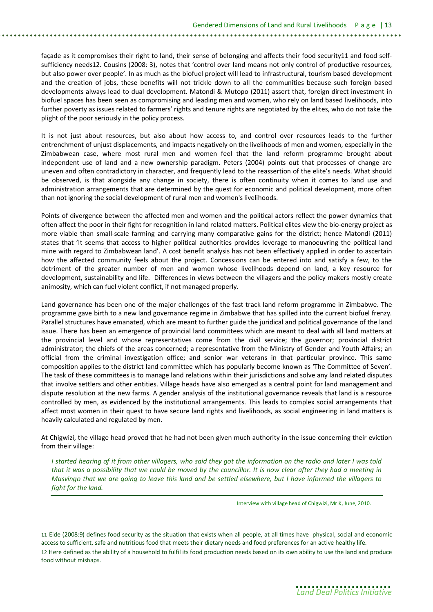façade as it compromises their right to land, their sense of belonging and affects their food security11 and food selfsufficiency needs12. Cousins (2008: 3), notes that 'control over land means not only control of productive resources, but also power over people'. In as much as the biofuel project will lead to infrastructural, tourism based development and the creation of jobs, these benefits will not trickle down to all the communities because such foreign based developments always lead to dual development. Matondi & Mutopo (2011) assert that, foreign direct investment in biofuel spaces has been seen as compromising and leading men and women, who rely on land based livelihoods, into further poverty as issues related to farmers' rights and tenure rights are negotiated by the elites, who do not take the plight of the poor seriously in the policy process.

It is not just about resources, but also about how access to, and control over resources leads to the further entrenchment of unjust displacements, and impacts negatively on the livelihoods of men and women, especially in the Zimbabwean case, where most rural men and women feel that the land reform programme brought about independent use of land and a new ownership paradigm. Peters (2004) points out that processes of change are uneven and often contradictory in character, and frequently lead to the reassertion of the elite's needs. What should be observed, is that alongside any change in society, there is often continuity when it comes to land use and administration arrangements that are determined by the quest for economic and political development, more often than not ignoring the social development of rural men and women's livelihoods.

Points of divergence between the affected men and women and the political actors reflect the power dynamics that often affect the poor in their fight for recognition in land related matters. Political elites view the bio-energy project as more viable than small-scale farming and carrying many comparative gains for the district; hence Matondi (2011) states that 'It seems that access to higher political authorities provides leverage to manoeuvring the political land mine with regard to Zimbabwean land'. A cost benefit analysis has not been effectively applied in order to ascertain how the affected community feels about the project. Concessions can be entered into and satisfy a few, to the detriment of the greater number of men and women whose livelihoods depend on land, a key resource for development, sustainability and life. Differences in views between the villagers and the policy makers mostly create animosity, which can fuel violent conflict, if not managed properly.

Land governance has been one of the major challenges of the fast track land reform programme in Zimbabwe. The programme gave birth to a new land governance regime in Zimbabwe that has spilled into the current biofuel frenzy. Parallel structures have emanated, which are meant to further guide the juridical and political governance of the land issue. There has been an emergence of provincial land committees which are meant to deal with all land matters at the provincial level and whose representatives come from the civil service; the governor; provincial district administrator; the chiefs of the areas concerned; a representative from the Ministry of Gender and Youth Affairs; an official from the criminal investigation office; and senior war veterans in that particular province. This same composition applies to the district land committee which has popularly become known as 'The Committee of Seven'. The task of these committees is to manage land relations within their jurisdictions and solve any land related disputes that involve settlers and other entities. Village heads have also emerged as a central point for land management and dispute resolution at the new farms. A gender analysis of the institutional governance reveals that land is a resource controlled by men, as evidenced by the institutional arrangements. This leads to complex social arrangements that affect most women in their quest to have secure land rights and livelihoods, as social engineering in land matters is heavily calculated and regulated by men.

At Chigwizi, the village head proved that he had not been given much authority in the issue concerning their eviction from their village:

*I started hearing of it from other villagers, who said they got the information on the radio and later I was told that it was a possibility that we could be moved by the councillor. It is now clear after they had a meeting in Masvingo that we are going to leave this land and be settled elsewhere, but I have informed the villagers to fight for the land.*

Interview with village head of Chigwizi, Mr K, June, 2010.

<sup>11</sup> Eide (2008:9) defines food security as the situation that exists when all people, at all times have physical, social and economic access to sufficient, safe and nutritious food that meets their dietary needs and food preferences for an active healthy life. 12 Here defined as the ability of a household to fulfil its food production needs based on its own ability to use the land and produce food without mishaps.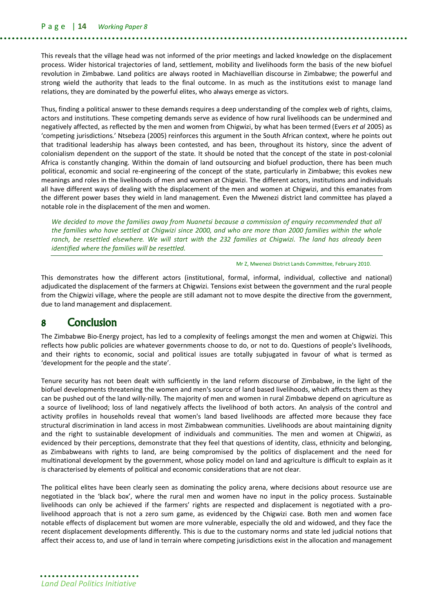This reveals that the village head was not informed of the prior meetings and lacked knowledge on the displacement process. Wider historical trajectories of land, settlement, mobility and livelihoods form the basis of the new biofuel revolution in Zimbabwe. Land politics are always rooted in Machiavellian discourse in Zimbabwe; the powerful and strong wield the authority that leads to the final outcome. In as much as the institutions exist to manage land relations, they are dominated by the powerful elites, who always emerge as victors.

Thus, finding a political answer to these demands requires a deep understanding of the complex web of rights, claims, actors and institutions. These competing demands serve as evidence of how rural livelihoods can be undermined and negatively affected, as reflected by the men and women from Chigwizi, by what has been termed (Evers *et al* 2005) as 'competing jurisdictions.' Ntsebeza (2005) reinforces this argument in the South African context, where he points out that traditional leadership has always been contested, and has been, throughout its history, since the advent of colonialism dependent on the support of the state. It should be noted that the concept of the state in post-colonial Africa is constantly changing. Within the domain of land outsourcing and biofuel production, there has been much political, economic and social re-engineering of the concept of the state, particularly in Zimbabwe; this evokes new meanings and roles in the livelihoods of men and women at Chigwizi. The different actors, institutions and individuals all have different ways of dealing with the displacement of the men and women at Chigwizi, and this emanates from the different power bases they wield in land management. Even the Mwenezi district land committee has played a notable role in the displacement of the men and women.

*We decided to move the families away from Nuanetsi because a commission of enquiry recommended that all the families who have settled at Chigwizi since 2000, and who are more than 2000 families within the whole ranch, be resettled elsewhere. We will start with the 232 families at Chigwizi. The land has already been identified where the families will be resettled.*

Mr Z, Mwenezi District Lands Committee, February 2010.

This demonstrates how the different actors (institutional, formal, informal, individual, collective and national) adjudicated the displacement of the farmers at Chigwizi. Tensions exist between the government and the rural people from the Chigwizi village, where the people are still adamant not to move despite the directive from the government, due to land management and displacement.

### **8 Conclusion**

The Zimbabwe Bio-Energy project, has led to a complexity of feelings amongst the men and women at Chigwizi. This reflects how public policies are whatever governments choose to do, or not to do. Questions of people's livelihoods, and their rights to economic, social and political issues are totally subjugated in favour of what is termed as 'development for the people and the state'.

Tenure security has not been dealt with sufficiently in the land reform discourse of Zimbabwe, in the light of the biofuel developments threatening the women and men's source of land based livelihoods, which affects them as they can be pushed out of the land willy-nilly. The majority of men and women in rural Zimbabwe depend on agriculture as a source of livelihood; loss of land negatively affects the livelihood of both actors. An analysis of the control and activity profiles in households reveal that women's land based livelihoods are affected more because they face structural discrimination in land access in most Zimbabwean communities. Livelihoods are about maintaining dignity and the right to sustainable development of individuals and communities. The men and women at Chigwizi, as evidenced by their perceptions, demonstrate that they feel that questions of identity, class, ethnicity and belonging, as Zimbabweans with rights to land, are being compromised by the politics of displacement and the need for multinational development by the government, whose policy model on land and agriculture is difficult to explain as it is characterised by elements of political and economic considerations that are not clear.

The political elites have been clearly seen as dominating the policy arena, where decisions about resource use are negotiated in the 'black box', where the rural men and women have no input in the policy process. Sustainable livelihoods can only be achieved if the farmers' rights are respected and displacement is negotiated with a prolivelihood approach that is not a zero sum game, as evidenced by the Chigwizi case. Both men and women face notable effects of displacement but women are more vulnerable, especially the old and widowed, and they face the recent displacement developments differently. This is due to the customary norms and state led judicial notions that affect their access to, and use of land in terrain where competing jurisdictions exist in the allocation and management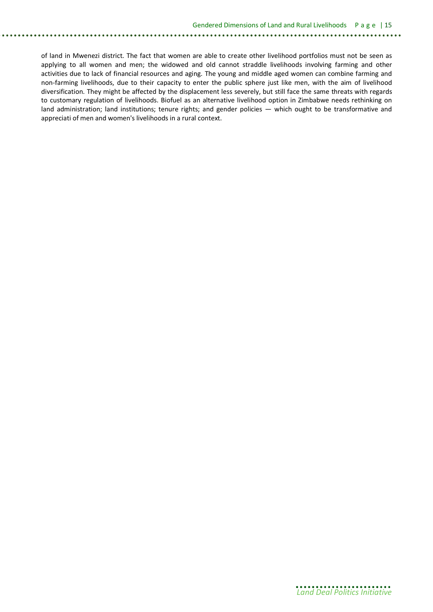of land in Mwenezi district. The fact that women are able to create other livelihood portfolios must not be seen as applying to all women and men; the widowed and old cannot straddle livelihoods involving farming and other activities due to lack of financial resources and aging. The young and middle aged women can combine farming and non-farming livelihoods, due to their capacity to enter the public sphere just like men, with the aim of livelihood diversification. They might be affected by the displacement less severely, but still face the same threats with regards to customary regulation of livelihoods. Biofuel as an alternative livelihood option in Zimbabwe needs rethinking on land administration; land institutions; tenure rights; and gender policies — which ought to be transformative and appreciati of men and women's livelihoods in a rural context.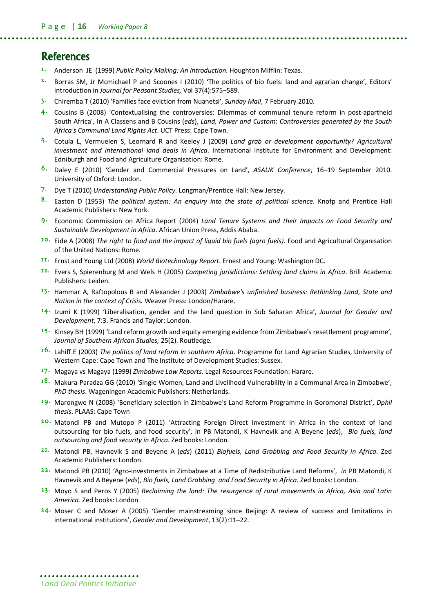### **References**

- **1.** Anderson JE (1999) *Public Policy Making: An Introduction.* Houghton Mifflin: Texas.
- **2.** Borras SM, Jr Mcmichael P and Scoones I (2010) 'The politics of bio fuels: land and agrarian change', Editors' introduction in *Journal for Peasant Studies,* Vol 37(4):575–589.
- **3.** Chiremba T (2010) 'Families face eviction from Nuanetsi', *Sunday Mail*, 7 February 2010.
- **4.** Cousins B (2008) 'Contextualising the controversies: Dilemmas of communal tenure reform in post-apartheid South Africa', In A Classens and B Cousins (*eds*), *Land, Power and Custom*: *Controversies generated by the South Africa's Communal Land Rights Act*. UCT Press: Cape Town.
- **5.** Cotula L, Vermuelen S, Leornard R and Keeley J (2009) *Land grab or development opportunity? Agricultural investment and international land deals in Africa*. International Institute for Environment and Development: Edniburgh and Food and Agriculture Organisation: Rome.
- **6.** Daley E (2010) 'Gender and Commercial Pressures on Land', *ASAUK Conference*, 16–19 September 2010. University of Oxford: London.
- **7.** Dye T (2010) *Understanding Public Policy*. Longman/Prentice Hall: New Jersey.
- **8.** Easton D (1953) *The political system: An enquiry into the state of political science*. Knofp and Prentice Hall Academic Publishers: New York.
- **9.** Economic Commission on Africa Report (2004) *Land Tenure Systems and their Impacts on Food Security and Sustainable Development in Africa*. African Union Press, Addis Ababa.
- **10.** Eide A (2008) *The right to food and the impact of liquid bio fuels (agro fuels).* Food and Agricultural Organisation of the United Nations: Rome.
- **11.** Ernst and Young Ltd (2008) *World Biotechnology Report*. Ernest and Young: Washington DC.
- **12.** Evers S, Spierenburg M and Wels H (2005) *Competing jurisdictions: Settling land claims in Africa*. Brill Academic Publishers: Leiden.
- **13.** Hammar A, Raftopolous B and Alexander J (2003) *Zimbabwe's unfinished business: Rethinking Land, State and Nation in the context of Crisis.* Weaver Press: London/Harare.
- **14.** Izumi K (1999) 'Liberalisation, gender and the land question in Sub Saharan Africa', *Journal for Gender and Development*, 7:3. Francis and Taylor: London.
- **15.** Kinsey BH (1999) 'Land reform growth and equity emerging evidence from Zimbabwe's resettlement programme', *Journal of Southern African Studies,* 25(2). Routledge.
- **16.** Lahiff E (2003) *The politics of land reform in southern Africa*. Programme for Land Agrarian Studies, University of Western Cape: Cape Town and The Institute of Development Studies: Sussex.
- **17.** Magaya vs Magaya (1999) *Zimbabwe Law Reports*. Legal Resources Foundation: Harare.
- **18.** Makura-Paradza GG (2010) 'Single Women, Land and Livelihood Vulnerability in a Communal Area in Zimbabwe', *PhD thesis*. Wageningen Academic Publishers: Netherlands.
- **19.** Marongwe N (2008) 'Beneficiary selection in Zimbabwe's Land Reform Programme in Goromonzi District', *Dphil thesis*. PLAAS: Cape Town
- **20.** Matondi PB and Mutopo P (2011) 'Attracting Foreign Direct Investment in Africa in the context of land outsourcing for bio fuels, and food security', in PB Matondi, K Havnevik and A Beyene (*eds*), *Bio fuels, land outsourcing and food security in Africa*. Zed books: London.
- **21.** Matondi PB, Havnevik S and Beyene A (*eds*) (2011) *Biofuels, Land Grabbing and Food Security in Africa*. Zed Academic Publishers: London.
- **22.** Matondi PB (2010) 'Agro-investments in Zimbabwe at a Time of Redistributive Land Reforms', *in* PB Matondi, K Havnevik and A Beyene (*eds*), *Bio fuels, Land Grabbing and Food Security in Africa*. Zed books: London.
- **23.** Moyo S and Peros Y (2005) *Reclaiming the land: The resurgence of rural movements in Africa, Asia and Latin America*. Zed books: London.
- **24.** Moser C and Moser A (2005) 'Gender mainstreaming since Beijing: A review of success and limitations in international institutions', *Gender and Development*, 13(2):11–22.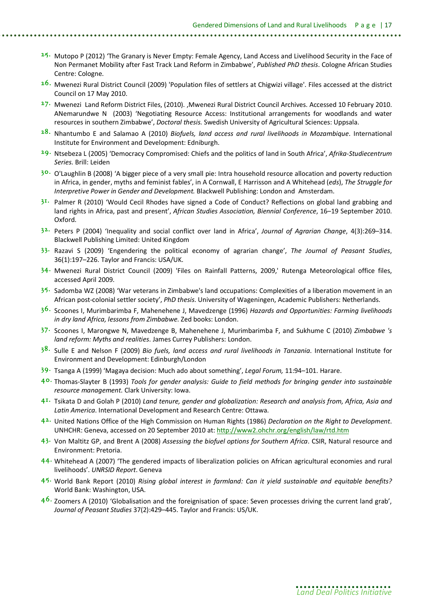### **25.** Mutopo P (2012) 'The Granary is Never Empty: Female Agency, Land Access and Livelihood Security in the Face of Non Permanet Mobility after Fast Track Land Reform in Zimbabwe', *Published PhD thesis*. Cologne African Studies Centre: Cologne.

- **26.** Mwenezi Rural District Council (2009) 'Population files of settlers at Chigwizi village'. Files accessed at the district Council on 17 May 2010.
- **27.** Mwenezi Land Reform District Files, (2010). ,Mwenezi Rural District Council Archives. Accessed 10 February 2010. ANemarundwe N (2003) 'Negotiating Resource Access: Institutional arrangements for woodlands and water resources in southern Zimbabwe', *Doctoral thesis*. Swedish University of Agricultural Sciences: Uppsala.
- **28.** Nhantumbo E and Salamao A (2010) *Biofuels, land access and rural livelihoods in Mozambique*. International Institute for Environment and Development: Edniburgh.
- **29.** Ntsebeza L (2005) 'Democracy Compromised: Chiefs and the politics of land in South Africa', *Afrika-Studiecentrum Series.* Brill: Leiden
- **30.** O'Laughlin B (2008) 'A bigger piece of a very small pie: Intra household resource allocation and poverty reduction in Africa, in gender, myths and feminist fables', in A Cornwall, E Harrisson and A Whitehead (*eds*), *The Struggle for Interpretive Power in Gender and Development.* Blackwell Publishing: London and Amsterdam.
- **31.** Palmer R (2010) 'Would Cecil Rhodes have signed a Code of Conduct? Reflections on global land grabbing and land rights in Africa, past and present', *African Studies Association, Biennial Conference*, 16–19 September 2010. Oxford.
- **32.** Peters P (2004) 'Inequality and social conflict over land in Africa', *Journal of Agrarian Change*, 4(3):269–314. Blackwell Publishing Limited: United Kingdom
- **33.** Razavi S (2009) 'Engendering the political economy of agrarian change', *The Journal of Peasant Studies*, 36(1):197–226. Taylor and Francis: USA/UK.
- **34.** Mwenezi Rural District Council (2009) 'Files on Rainfall Patterns, 2009,' Rutenga Meteorological office files, accessed April 2009.
- **35.** Sadomba WZ (2008) 'War veterans in Zimbabwe's land occupations: Complexities of a liberation movement in an African post-colonial settler society', *PhD thesis*. University of Wageningen, Academic Publishers: Netherlands.
- **36.** Scoones I, Murimbarimba F, Mahenehene J, Mavedzenge (1996) *Hazards and Opportunities: Farming livelihoods in dry land Africa, lessons from Zimbabwe*. Zed books: London.
- **37.** Scoones I, Marongwe N, Mavedzenge B, Mahenehene J, Murimbarimba F, and Sukhume C (2010) *Zimbabwe 's land reform: Myths and realities*. James Currey Publishers: London.
- **38.** Sulle E and Nelson F (2009) *Bio fuels, land access and rural livelihoods in Tanzania*. International Institute for Environment and Development: Edinburgh/London
- **39.** Tsanga A (1999) 'Magaya decision: Much ado about something', *Legal Forum,* 11:94–101. Harare.
- **40.** Thomas-Slayter B (1993) *Tools for gender analysis: Guide to field methods for bringing gender into sustainable resource management*. Clark University: Iowa.
- **41.** Tsikata D and Golah P (2010) *Land tenure, gender and globalization: Research and analysis from, Africa, Asia and Latin America*. International Development and Research Centre: Ottawa.
- **42.** United Nations Office of the High Commission on Human Rights (1986) *Declaration on the Right to Development*. UNHCHR: Geneva, accessed on 20 September 2010 at: http://www2.ohchr.org/english/law/rtd.htm
- **43.** Von Maltitz GP, and Brent A (2008) *Assessing the biofuel options for Southern Africa*. CSIR, Natural resource and Environment: Pretoria.
- **44.** Whitehead A (2007) 'The gendered impacts of liberalization policies on African agricultural economies and rural livelihoods'. *UNRSID Report*. Geneva
- **45.** World Bank Report (2010) *Rising global interest in farmland: Can it yield sustainable and equitable benefits?* World Bank: Washington, USA.
- **46.** Zoomers A (2010) 'Globalisation and the foreignisation of space: Seven processes driving the current land grab', *Journal of Peasant Studies* 37(2):429–445. Taylor and Francis: US/UK.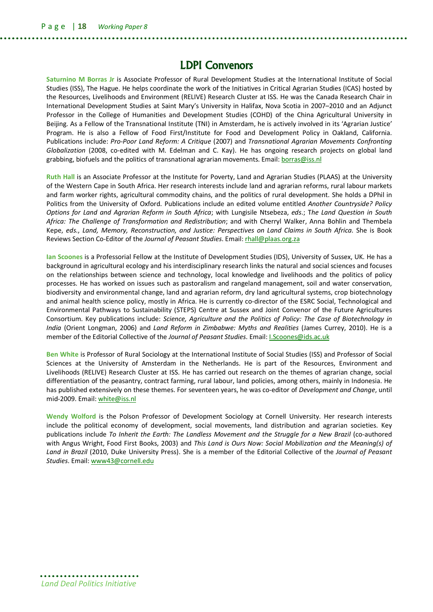### **LDPI Convenors**

**Saturnino M Borras Jr** is Associate Professor of Rural Development Studies at the International Institute of Social Studies (ISS), The Hague. He helps coordinate the work of the Initiatives in Critical Agrarian Studies (ICAS) hosted by the Resources, Livelihoods and Environment (RELIVE) Research Cluster at ISS. He was the Canada Research Chair in International Development Studies at Saint Mary's University in Halifax, Nova Scotia in 2007–2010 and an Adjunct Professor in the College of Humanities and Development Studies (COHD) of the China Agricultural University in Beijing. As a Fellow of the Transnational Institute (TNI) in Amsterdam, he is actively involved in its 'Agrarian Justice' Program. He is also a Fellow of Food First/Institute for Food and Development Policy in Oakland, California. Publications include: *Pro-Poor Land Reform: A Critique* (2007) and *Transnational Agrarian Movements Confronting Globalization* (2008, co-edited with M. Edelman and C. Kay). He has ongoing research projects on global land grabbing, biofuels and the politics of transnational agrarian movements. Email: borras@iss.nl

**Ruth Hall** is an Associate Professor at the Institute for Poverty, Land and Agrarian Studies (PLAAS) at the University of the Western Cape in South Africa. Her research interests include land and agrarian reforms, rural labour markets and farm worker rights, agricultural commodity chains, and the politics of rural development. She holds a DPhil in Politics from the University of Oxford. Publications include an edited volume entitled *Another Countryside? Policy Options for Land and Agrarian Reform in South Africa*; with Lungisile Ntsebeza, *eds*.; T*he Land Question in South Africa: The Challenge of Transformation and Redistribution*; and with Cherryl Walker, Anna Bohlin and Thembela Kepe, *eds*., *Land, Memory, Reconstruction, and Justice: Perspectives on Land Claims in South Africa*. She is Book Reviews Section Co-Editor of the *Journal of Peasant Studies*. Email: rhall@plaas.org.za

**Ian Scoones** is a Professorial Fellow at the Institute of Development Studies (IDS), University of Sussex, UK. He has a background in agricultural ecology and his interdisciplinary research links the natural and social sciences and focuses on the relationships between science and technology, local knowledge and livelihoods and the politics of policy processes. He has worked on issues such as pastoralism and rangeland management, soil and water conservation, biodiversity and environmental change, land and agrarian reform, dry land agricultural systems, crop biotechnology and animal health science policy, mostly in Africa. He is currently co-director of the ESRC Social, Technological and Environmental Pathways to Sustainability (STEPS) Centre at Sussex and Joint Convenor of the Future Agricultures Consortium. Key publications include: *Science, Agriculture and the Politics of Policy: The Case of Biotechnology in India* (Orient Longman, 2006) and *Land Reform in Zimbabwe: Myths and Realities* (James Currey, 2010). He is a member of the Editorial Collective of the *Journal of Peasant Studies*. Email: I.Scoones@ids.ac.uk

**Ben White** is Professor of Rural Sociology at the International Institute of Social Studies (ISS) and Professor of Social Sciences at the University of Amsterdam in the Netherlands. He is part of the Resources, Environment and Livelihoods (RELIVE) Research Cluster at ISS. He has carried out research on the themes of agrarian change, social differentiation of the peasantry, contract farming, rural labour, land policies, among others, mainly in Indonesia. He has published extensively on these themes. For seventeen years, he was co-editor of *Development and Change*, until mid-2009. Email: white@iss.nl

**Wendy Wolford** is the Polson Professor of Development Sociology at Cornell University. Her research interests include the political economy of development, social movements, land distribution and agrarian societies. Key publications include *To Inherit the Earth: The Landless Movement and the Struggle for a New Brazil* (co-authored with Angus Wright, Food First Books, 2003) and *This Land is Ours Now: Social Mobilization and the Meaning(s) of Land in Brazil* (2010, Duke University Press). She is a member of the Editorial Collective of the *Journal of Peasant Studies*. Email: www43@cornell.edu